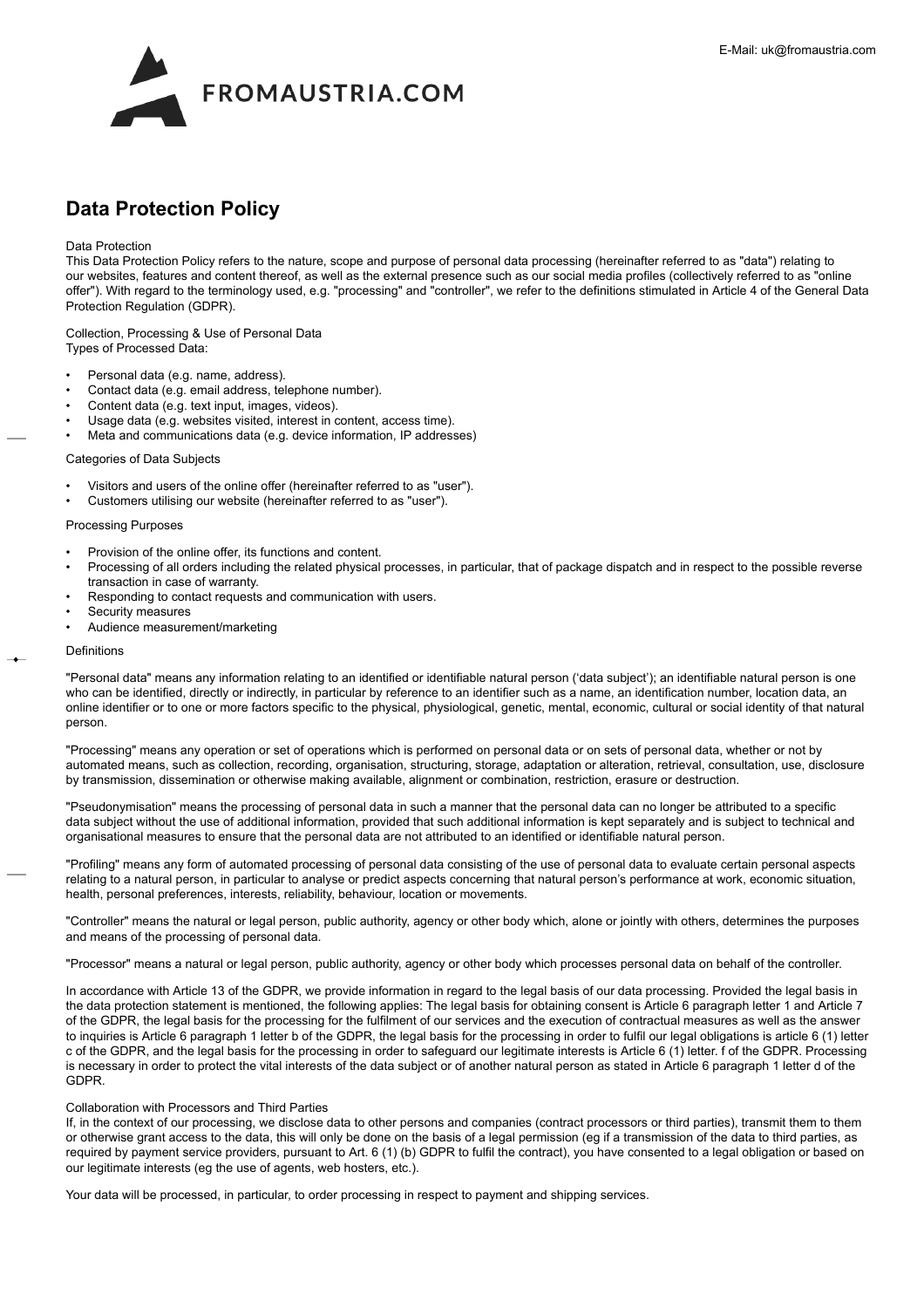<span id="page-0-0"></span>

# **Data Protection Policy**

## Data Protection

This Data Protection Policy refers to the nature, scope and purpose of personal data processing (hereinafter referred to as "data") relating to our websites, features and content thereof, as well as the external presence such as our social media profiles (collectively referred to as "online offer"). With regard to the terminology used, e.g. "processing" and "controller", we refer to the definitions stimulated in Article 4 of the General Data Protection Regulation (GDPR).

Collection, Processing & Use of Personal Data Types of Processed Data:

- Personal data (e.g. name, address).
- Contact data (e.g. email address, telephone number).
- Content data (e.g. text input, images, videos).
- Usage data (e.g. websites visited, interest in content, access time).
- Meta and communications data (e.g. device information, IP addresses)

# Categories of Data Subjects

- Visitors and users of the online offer (hereinafter referred to as "user").
- Customers utilising our website (hereinafter referred to as "user").

# Processing Purposes

- Provision of the online offer, its functions and content.
- Processing of all orders including the related physical processes, in particular, that of package dispatch and in respect to the possible reverse transaction in case of warranty.
- Responding to contact requests and communication with users.
- Security measures
- Audience measurement/marketing

#### Definitions

"Personal data" means any information relating to an identified or identifiable natural person ('data subject'); an identifiable natural person is one who can be identified, directly or indirectly, in particular by reference to an identifier such as a name, an identification number, location data, an online identifier or to one or more factors specific to the physical, physiological, genetic, mental, economic, cultural or social identity of that natural person.

"Processing" means any operation or set of operations which is performed on personal data or on sets of personal data, whether or not by automated means, such as collection, recording, organisation, structuring, storage, adaptation or alteration, retrieval, consultation, use, disclosure by transmission, dissemination or otherwise making available, alignment or combination, restriction, erasure or destruction.

"Pseudonymisation" means the processing of personal data in such a manner that the personal data can no longer be attributed to a specific data subject without the use of additional information, provided that such additional information is kept separately and is subject to technical and organisational measures to ensure that the personal data are not attributed to an identified or identifiable natural person.

"Profiling" means any form of automated processing of personal data consisting of the use of personal data to evaluate certain personal aspects relating to a natural person, in particular to analyse or predict aspects concerning that natural person's performance at work, economic situation, health, personal preferences, interests, reliability, behaviour, location or movements.

"Controller" means the natural or legal person, public authority, agency or other body which, alone or jointly with others, determines the purposes and means of the processing of personal data.

"Processor" means a natural or legal person, public authority, agency or other body which processes personal data on behalf of the controller.

In accordance with Article 13 of the GDPR, we provide information in regard to the legal basis of our data processing. Provided the legal basis in the data protection statement is mentioned, the following applies: The legal basis for obtaining consent is Article 6 paragraph letter 1 and Article 7 of the GDPR, the legal basis for the processing for the fulfilment of our services and the execution of contractual measures as well as the answer to inquiries is Article 6 paragraph 1 letter b of the GDPR, the legal basis for the processing in order to fulfil our legal obligations is article 6 (1) letter c of the GDPR, and the legal basis for the processing in order to safeguard our legitimate interests is Article 6 (1) letter. f of the GDPR. Processing is necessary in order to protect the vital interests of the data subject or of another natural person as stated in Article 6 paragraph 1 letter d of the GDPR.

## Collaboration with Processors and Third Parties

If, in the context of our processing, we disclose data to other persons and companies (contract processors or third parties), transmit them to them or otherwise grant access to the data, this will only be done on the basis of a legal permission (eg if a transmission of the data to third parties, as required by payment service providers, pursuant to Art. 6 (1) (b) GDPR to fulfil the contract), you have consented to a legal obligation or based on our legitimate interests (eg the use of agents, web hosters, etc.).

Your data will be processed, in particular, to order processing in respect to payment and shipping services.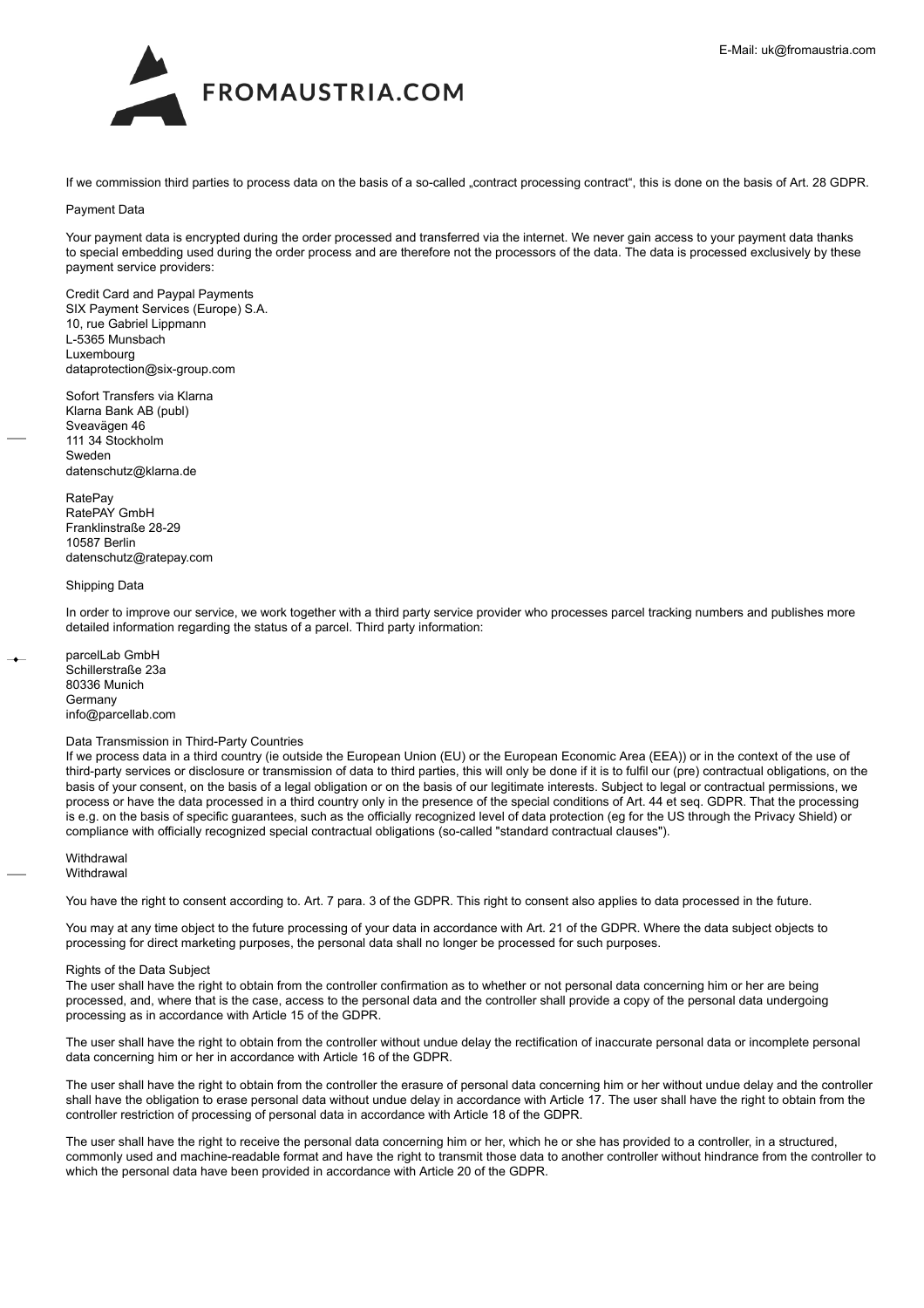

If we commission third parties to process data on the basis of a so-called "contract processing contract", this is done on the basis of Art. 28 GDPR.

## Payment Data

Your payment data is encrypted during the order processed and transferred via the internet. We never gain access to your payment data thanks to special embedding used during the order process and are therefore not the processors of the data. The data is processed exclusively by these payment service providers:

Credit Card and Paypal Payments SIX Payment Services (Europe) S.A. 10, rue Gabriel Lippmann L-5365 Munsbach Luxembourg dataprotection@six-group.com

Sofort Transfers via Klarna Klarna Bank AB (publ) Sveavägen 46 111 34 Stockholm Sweden datenschutz@klarna.de

**RatePay** RatePAY GmbH Franklinstraße 28-29 10587 Berlin datenschutz@ratepay.com

# Shipping Data

In order to improve our service, we work together with a third party service provider who processes parcel tracking numbers and publishes more detailed information regarding the status of a parcel. Third party information:

parcelLab GmbH Schillerstraße 23a 80336 Munich **Germany** info@parcellab.com

# Data Transmission in Third-Party Countries

If we process data in a third country (ie outside the European Union (EU) or the European Economic Area (EEA)) or in the context of the use of third-party services or disclosure or transmission of data to third parties, this will only be done if it is to fulfil our (pre) contractual obligations, on the basis of your consent, on the basis of a legal obligation or on the basis of our legitimate interests. Subject to legal or contractual permissions, we process or have the data processed in a third country only in the presence of the special conditions of Art. 44 et seq. GDPR. That the processing is e.g. on the basis of specific guarantees, such as the officially recognized level of data protection (eg for the US through the Privacy Shield) or compliance with officially recognized special contractual obligations (so-called "standard contractual clauses").

**Withdrawal Withdrawal** 

You have the right to consent according to. Art. 7 para. 3 of the GDPR. This right to consent also applies to data processed in the future.

You may at any time object to the future processing of your data in accordance with Art. 21 of the GDPR. Where the data subject objects to processing for direct marketing purposes, the personal data shall no longer be processed for such purposes.

#### Rights of the Data Subject

The user shall have the right to obtain from the controller confirmation as to whether or not personal data concerning him or her are being processed, and, where that is the case, access to the personal data and the controller shall provide a copy of the personal data undergoing processing as in accordance with Article 15 of the GDPR.

The user shall have the right to obtain from the controller without undue delay the rectification of inaccurate personal data or incomplete personal data concerning him or her in accordance with Article 16 of the GDPR.

The user shall have the right to obtain from the controller the erasure of personal data concerning him or her without undue delay and the controller shall have the obligation to erase personal data without undue delay in accordance with Article 17. The user shall have the right to obtain from the controller restriction of processing of personal data in accordance with Article 18 of the GDPR.

The user shall have the right to receive the personal data concerning him or her, which he or she has provided to a controller, in a structured, commonly used and machine-readable format and have the right to transmit those data to another controller without hindrance from the controller to which the personal data have been provided in accordance with Article 20 of the GDPR.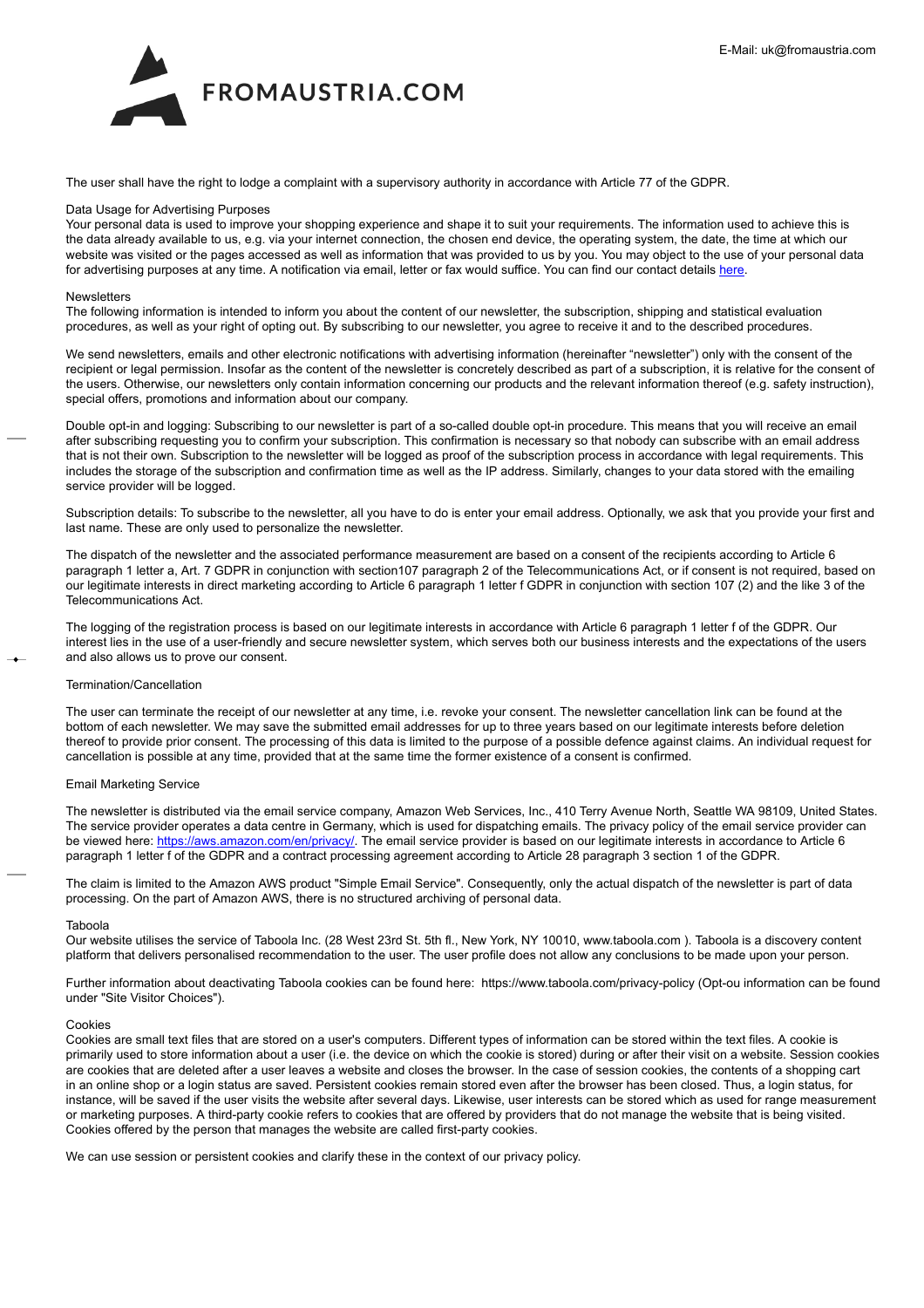

The user shall have the right to lodge a complaint with a supervisory authority in accordance with Article 77 of the GDPR.

## Data Usage for Advertising Purposes

Your personal data is used to improve your shopping experience and shape it to suit your requirements. The information used to achieve this is the data already available to us, e.g. via your internet connection, the chosen end device, the operating system, the date, the time at which our website was visited or the pages accessed as well as information that was provided to us by you. You may object to the use of your personal data for advertising purposes at any time. A notification via email, letter or fax would suffice. You can find our contact details [here](http://https://www.fromaustria.com/de-AT/info/kontakt).

# Newsletters

The following information is intended to inform you about the content of our newsletter, the subscription, shipping and statistical evaluation procedures, as well as your right of opting out. By subscribing to our newsletter, you agree to receive it and to the described procedures.

We send newsletters, emails and other electronic notifications with advertising information (hereinafter "newsletter") only with the consent of the recipient or legal permission. Insofar as the content of the newsletter is concretely described as part of a subscription, it is relative for the consent of the users. Otherwise, our newsletters only contain information concerning our products and the relevant information thereof (e.g. safety instruction), special offers, promotions and information about our company.

Double opt-in and logging: Subscribing to our newsletter is part of a so-called double opt-in procedure. This means that you will receive an email after subscribing requesting you to confirm your subscription. This confirmation is necessary so that nobody can subscribe with an email address that is not their own. Subscription to the newsletter will be logged as proof of the subscription process in accordance with legal requirements. This includes the storage of the subscription and confirmation time as well as the IP address. Similarly, changes to your data stored with the emailing service provider will be logged.

Subscription details: To subscribe to the newsletter, all you have to do is enter your email address. Optionally, we ask that you provide your first and last name. These are only used to personalize the newsletter.

The dispatch of the newsletter and the associated performance measurement are based on a consent of the recipients according to Article 6 paragraph 1 letter a, Art. 7 GDPR in conjunction with section107 paragraph 2 of the Telecommunications Act, or if consent is not required, based on our legitimate interests in direct marketing according to Article 6 paragraph 1 letter f GDPR in conjunction with section 107 (2) and the like 3 of the Telecommunications Act.

The logging of the registration process is based on our legitimate interests in accordance with Article 6 paragraph 1 letter f of the GDPR. Our interest lies in the use of a user-friendly and secure newsletter system, which serves both our business interests and the expectations of the users and also allows us to prove our consent.

## Termination/Cancellation

The user can terminate the receipt of our newsletter at any time, i.e. revoke your consent. The newsletter cancellation link can be found at the bottom of each newsletter. We may save the submitted email addresses for up to three years based on our legitimate interests before deletion thereof to provide prior consent. The processing of this data is limited to the purpose of a possible defence against claims. An individual request for cancellation is possible at any time, provided that at the same time the former existence of a consent is confirmed.

## Email Marketing Service

The newsletter is distributed via the email service company, Amazon Web Services, Inc., 410 Terry Avenue North, Seattle WA 98109, United States. The service provider operates a data centre in Germany, which is used for dispatching emails. The privacy policy of the email service provider can be viewed here: [https://aws.amazon.com/en/privacy/](https://aws.amazon.com/privacy/?nc1=h_ls). The email service provider is based on our legitimate interests in accordance to Article 6 paragraph 1 letter f of the GDPR and a contract processing agreement according to Article 28 paragraph 3 section 1 of the GDPR.

The claim is limited to the Amazon AWS product "Simple Email Service". Consequently, only the actual dispatch of the newsletter is part of data processing. On the part of Amazon AWS, there is no structured archiving of personal data.

## Taboola

Our website utilises the service of Taboola Inc. (28 West 23rd St. 5th fl., New York, NY 10010, www.taboola.com ). Taboola is a discovery content platform that delivers personalised recommendation to the user. The user profile does not allow any conclusions to be made upon your person.

Further information about deactivating Taboola cookies can be found here: https://www.taboola.com/privacy-policy (Opt-ou information can be found under "Site Visitor Choices").

# Cookies

Cookies are small text files that are stored on a user's computers. Different types of information can be stored within the text files. A cookie is primarily used to store information about a user (i.e. the device on which the cookie is stored) during or after their visit on a website. Session cookies are cookies that are deleted after a user leaves a website and closes the browser. In the case of session cookies, the contents of a shopping cart in an online shop or a login status are saved. Persistent cookies remain stored even after the browser has been closed. Thus, a login status, for instance, will be saved if the user visits the website after several days. Likewise, user interests can be stored which as used for range measurement or marketing purposes. A third-party cookie refers to cookies that are offered by providers that do not manage the website that is being visited. Cookies offered by the person that manages the website are called first-party cookies.

We can use session or persistent cookies and clarify these in the context of our privacy policy.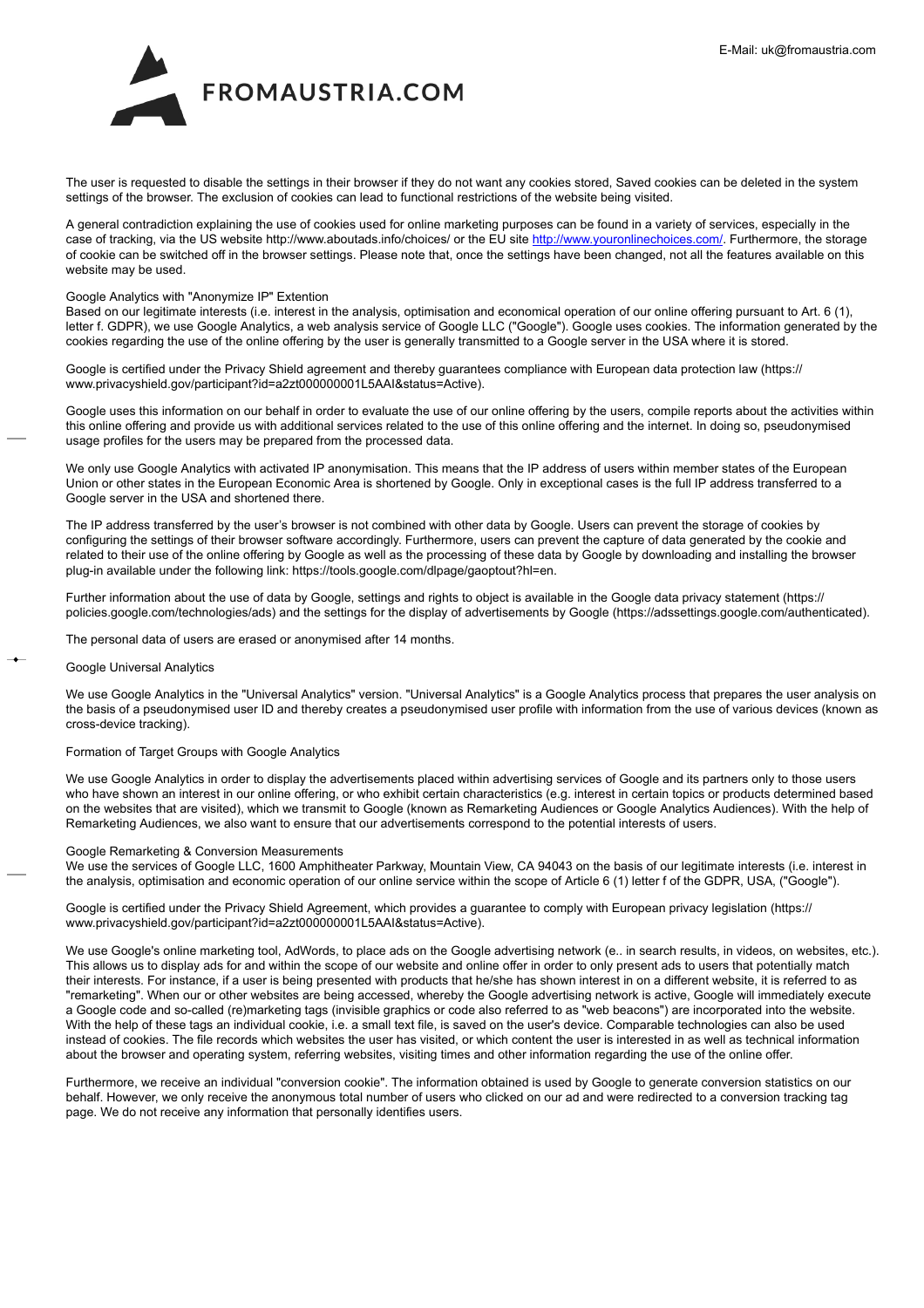

The user is requested to disable the settings in their browser if they do not want any cookies stored, Saved cookies can be deleted in the system settings of the browser. The exclusion of cookies can lead to functional restrictions of the website being visited.

A general contradiction explaining the use of cookies used for online marketing purposes can be found in a variety of services, especially in the case of tracking, via the US website http://www.aboutads.info/choices/ or the EU site [http://www.youronlinechoices.com/](https://www.youronlinechoices.com/). Furthermore, the storage of cookie can be switched off in the browser settings. Please note that, once the settings have been changed, not all the features available on this website may be used.

# Google Analytics with "Anonymize IP" Extention

Based on our legitimate interests (i.e. interest in the analysis, optimisation and economical operation of our online offering pursuant to Art. 6 (1), letter f. GDPR), we use Google Analytics, a web analysis service of Google LLC ("Google"). Google uses cookies. The information generated by the cookies regarding the use of the online offering by the user is generally transmitted to a Google server in the USA where it is stored.

Google is certified under the Privacy Shield agreement and thereby guarantees compliance with European data protection law (https:// www.privacyshield.gov/participant?id=a2zt000000001L5AAI&status=Active).

Google uses this information on our behalf in order to evaluate the use of our online offering by the users, compile reports about the activities within this online offering and provide us with additional services related to the use of this online offering and the internet. In doing so, pseudonymised usage profiles for the users may be prepared from the processed data.

We only use Google Analytics with activated IP anonymisation. This means that the IP address of users within member states of the European Union or other states in the European Economic Area is shortened by Google. Only in exceptional cases is the full IP address transferred to a Google server in the USA and shortened there.

The IP address transferred by the user's browser is not combined with other data by Google. Users can prevent the storage of cookies by configuring the settings of their browser software accordingly. Furthermore, users can prevent the capture of data generated by the cookie and related to their use of the online offering by Google as well as the processing of these data by Google by downloading and installing the browser plug-in available under the following link: https://tools.google.com/dlpage/gaoptout?hl=en.

Further information about the use of data by Google, settings and rights to object is available in the Google data privacy statement (https:// policies.google.com/technologies/ads) and the settings for the display of advertisements by Google (https://adssettings.google.com/authenticated).

The personal data of users are erased or anonymised after 14 months.

# Google Universal Analytics

We use Google Analytics in the "Universal Analytics" version. "Universal Analytics" is a Google Analytics process that prepares the user analysis on the basis of a pseudonymised user ID and thereby creates a pseudonymised user profile with information from the use of various devices (known as cross-device tracking).

## Formation of Target Groups with Google Analytics

We use Google Analytics in order to display the advertisements placed within advertising services of Google and its partners only to those users who have shown an interest in our online offering, or who exhibit certain characteristics (e.g. interest in certain topics or products determined based on the websites that are visited), which we transmit to Google (known as Remarketing Audiences or Google Analytics Audiences). With the help of Remarketing Audiences, we also want to ensure that our advertisements correspond to the potential interests of users.

## Google Remarketing & Conversion Measurements

We use the services of Google LLC, 1600 Amphitheater Parkway, Mountain View, CA 94043 on the basis of our legitimate interests (i.e. interest in the analysis, optimisation and economic operation of our online service within the scope of Article 6 (1) letter f of the GDPR, USA, ("Google").

Google is certified under the Privacy Shield Agreement, which provides a guarantee to comply with European privacy legislation (https:// www.privacyshield.gov/participant?id=a2zt000000001L5AAI&status=Active).

We use Google's online marketing tool, AdWords, to place ads on the Google advertising network (e.. in search results, in videos, on websites, etc.). This allows us to display ads for and within the scope of our website and online offer in order to only present ads to users that potentially match their interests. For instance, if a user is being presented with products that he/she has shown interest in on a different website, it is referred to as "remarketing". When our or other websites are being accessed, whereby the Google advertising network is active, Google will immediately execute a Google code and so-called (re)marketing tags (invisible graphics or code also referred to as "web beacons") are incorporated into the website. With the help of these tags an individual cookie, i.e. a small text file, is saved on the user's device. Comparable technologies can also be used instead of cookies. The file records which websites the user has visited, or which content the user is interested in as well as technical information about the browser and operating system, referring websites, visiting times and other information regarding the use of the online offer.

Furthermore, we receive an individual "conversion cookie". The information obtained is used by Google to generate conversion statistics on our behalf. However, we only receive the anonymous total number of users who clicked on our ad and were redirected to a conversion tracking tag page. We do not receive any information that personally identifies users.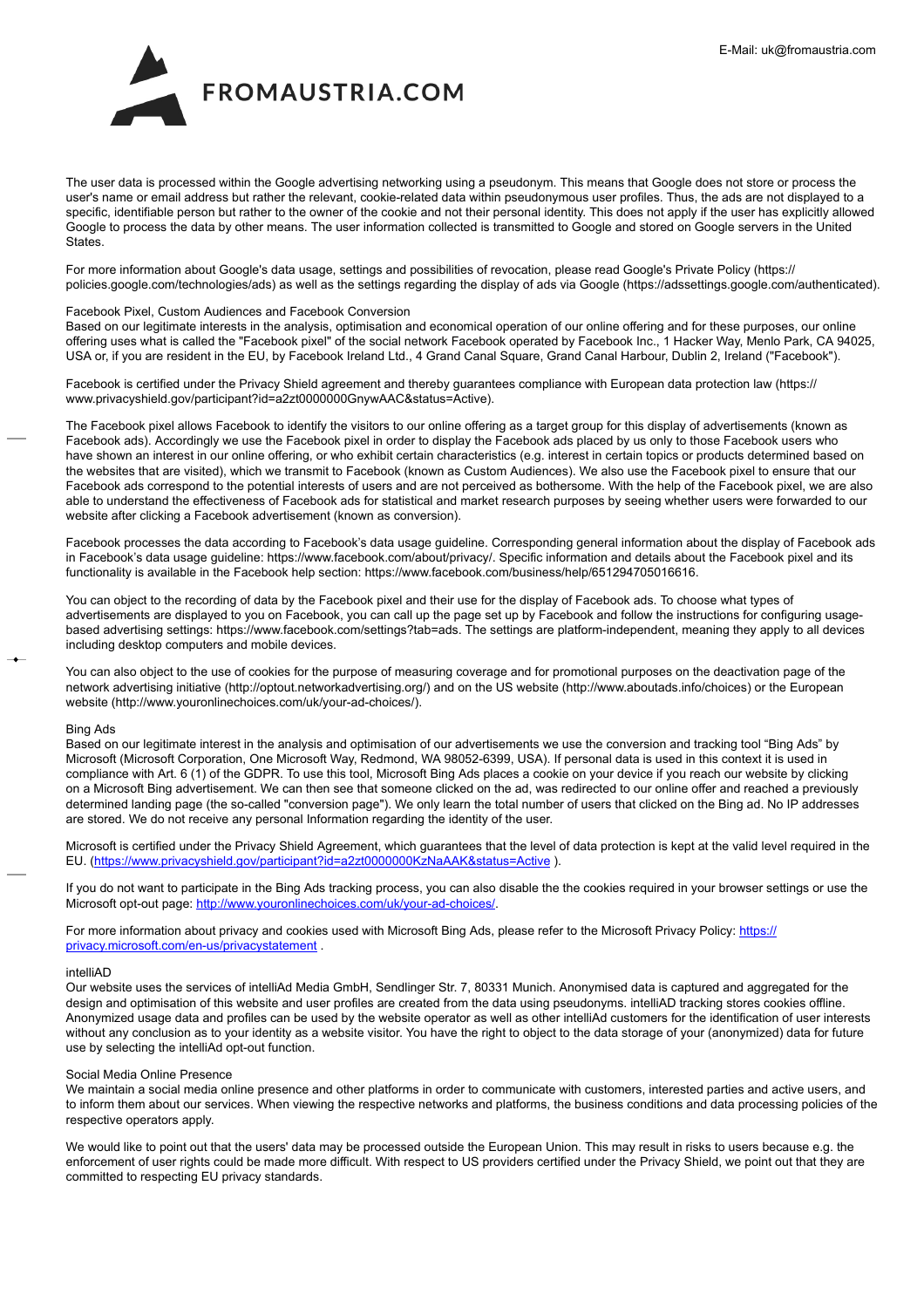

The user data is processed within the Google advertising networking using a pseudonym. This means that Google does not store or process the user's name or email address but rather the relevant, cookie-related data within pseudonymous user profiles. Thus, the ads are not displayed to a specific, identifiable person but rather to the owner of the cookie and not their personal identity. This does not apply if the user has explicitly allowed Google to process the data by other means. The user information collected is transmitted to Google and stored on Google servers in the United **States** 

For more information about Google's data usage, settings and possibilities of revocation, please read Google's Private Policy (https:// policies.google.com/technologies/ads) as well as the settings regarding the display of ads via Google (https://adssettings.google.com/authenticated).

## Facebook Pixel, Custom Audiences and Facebook Conversion

Based on our legitimate interests in the analysis, optimisation and economical operation of our online offering and for these purposes, our online offering uses what is called the "Facebook pixel" of the social network Facebook operated by Facebook Inc., 1 Hacker Way, Menlo Park, CA 94025, USA or, if you are resident in the EU, by Facebook Ireland Ltd., 4 Grand Canal Square, Grand Canal Harbour, Dublin 2, Ireland ("Facebook").

Facebook is certified under the Privacy Shield agreement and thereby guarantees compliance with European data protection law (https:// www.privacyshield.gov/participant?id=a2zt0000000GnywAAC&status=Active).

The Facebook pixel allows Facebook to identify the visitors to our online offering as a target group for this display of advertisements (known as Facebook ads). Accordingly we use the Facebook pixel in order to display the Facebook ads placed by us only to those Facebook users who have shown an interest in our online offering, or who exhibit certain characteristics (e.g. interest in certain topics or products determined based on the websites that are visited), which we transmit to Facebook (known as Custom Audiences). We also use the Facebook pixel to ensure that our Facebook ads correspond to the potential interests of users and are not perceived as bothersome. With the help of the Facebook pixel, we are also able to understand the effectiveness of Facebook ads for statistical and market research purposes by seeing whether users were forwarded to our website after clicking a Facebook advertisement (known as conversion).

Facebook processes the data according to Facebook's data usage guideline. Corresponding general information about the display of Facebook ads in Facebook's data usage guideline: https://www.facebook.com/about/privacy/. Specific information and details about the Facebook pixel and its functionality is available in the Facebook help section: https://www.facebook.com/business/help/651294705016616.

You can object to the recording of data by the Facebook pixel and their use for the display of Facebook ads. To choose what types of advertisements are displayed to you on Facebook, you can call up the page set up by Facebook and follow the instructions for configuring usagebased advertising settings: https://www.facebook.com/settings?tab=ads. The settings are platform-independent, meaning they apply to all devices including desktop computers and mobile devices.

You can also object to the use of cookies for the purpose of measuring coverage and for promotional purposes on the deactivation page of the network advertising initiative (http://optout.networkadvertising.org/) and on the US website (http://www.aboutads.info/choices) or the European website (http://www.youronlinechoices.com/uk/your-ad-choices/).

#### Bing Ads

Based on our legitimate interest in the analysis and optimisation of our advertisements we use the conversion and tracking tool "Bing Ads" by Microsoft (Microsoft Corporation, One Microsoft Way, Redmond, WA 98052-6399, USA). If personal data is used in this context it is used in compliance with Art. 6 (1) of the GDPR. To use this tool, Microsoft Bing Ads places a cookie on your device if you reach our website by clicking on a Microsoft Bing advertisement. We can then see that someone clicked on the ad, was redirected to our online offer and reached a previously determined landing page (the so-called "conversion page"). We only learn the total number of users that clicked on the Bing ad. No IP addresses are stored. We do not receive any personal Information regarding the identity of the user.

Microsoft is certified under the Privacy Shield Agreement, which guarantees that the level of data protection is kept at the valid level required in the EU. (<https://www.privacyshield.gov/participant?id=a2zt0000000KzNaAAK&status=Active> ).

If you do not want to participate in the Bing Ads tracking process, you can also disable the the cookies required in your browser settings or use the Microsoft opt-out page: [http://www.youronlinechoices.com/uk/your-ad-choices/.](http://www.youronlinechoices.com/uk/your-ad-choices/)

For more information about privacy and cookies used with Microsoft Bing Ads, please refer to the Microsoft Privacy Policy: [https://](https://privacy.microsoft.com/de-de/privacystatement) [privacy.microsoft.com/en-us/privacystatement](https://privacy.microsoft.com/de-de/privacystatement) .

#### intelliAD

Our website uses the services of intelliAd Media GmbH, Sendlinger Str. 7, 80331 Munich. Anonymised data is captured and aggregated for the design and optimisation of this website and user profiles are created from the data using pseudonyms. intelliAD tracking stores cookies offline. Anonymized usage data and profiles can be used by the website operator as well as other intelliAd customers for the identification of user interests without any conclusion as to your identity as a website visitor. You have the right to object to the data storage of your (anonymized) data for future use by selecting the intelliAd opt-out function.

## Social Media Online Presence

We maintain a social media online presence and other platforms in order to communicate with customers, interested parties and active users, and to inform them about our services. When viewing the respective networks and platforms, the business conditions and data processing policies of the respective operators apply.

We would like to point out that the users' data may be processed outside the European Union. This may result in risks to users because e.g. the enforcement of user rights could be made more difficult. With respect to US providers certified under the Privacy Shield, we point out that they are committed to respecting EU privacy standards.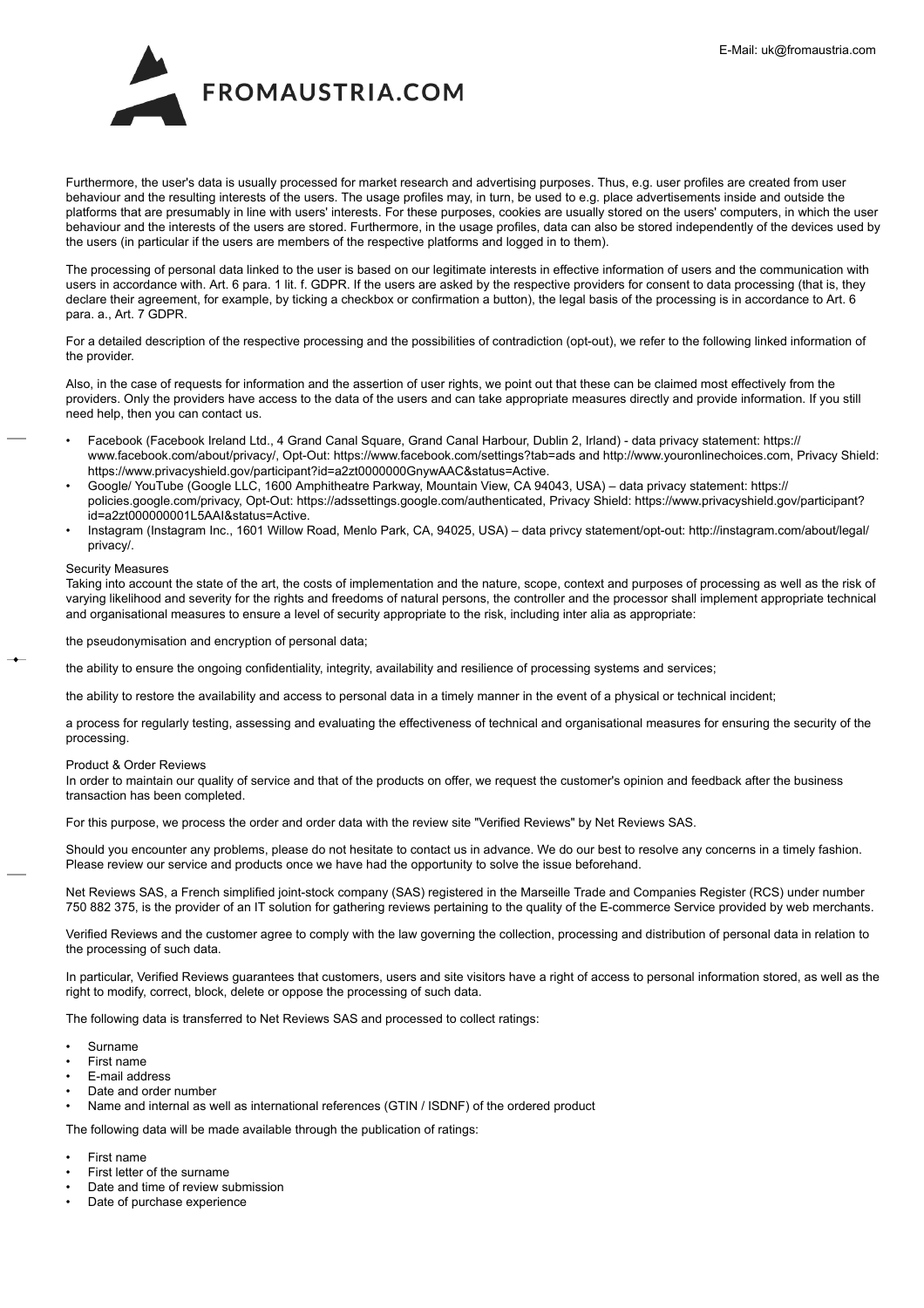

Furthermore, the user's data is usually processed for market research and advertising purposes. Thus, e.g. user profiles are created from user behaviour and the resulting interests of the users. The usage profiles may, in turn, be used to e.g. place advertisements inside and outside the platforms that are presumably in line with users' interests. For these purposes, cookies are usually stored on the users' computers, in which the user behaviour and the interests of the users are stored. Furthermore, in the usage profiles, data can also be stored independently of the devices used by the users (in particular if the users are members of the respective platforms and logged in to them).

The processing of personal data linked to the user is based on our legitimate interests in effective information of users and the communication with users in accordance with. Art. 6 para. 1 lit. f. GDPR. If the users are asked by the respective providers for consent to data processing (that is, they declare their agreement, for example, by ticking a checkbox or confirmation a button), the legal basis of the processing is in accordance to Art. 6 para. a., Art. 7 GDPR.

For a detailed description of the respective processing and the possibilities of contradiction (opt-out), we refer to the following linked information of the provider.

Also, in the case of requests for information and the assertion of user rights, we point out that these can be claimed most effectively from the providers. Only the providers have access to the data of the users and can take appropriate measures directly and provide information. If you still need help, then you can contact us.

- Facebook (Facebook Ireland Ltd., 4 Grand Canal Square, Grand Canal Harbour, Dublin 2, Irland) data privacy statement: https:// www.facebook.com/about/privacy/, Opt-Out: https://www.facebook.com/settings?tab=ads and http://www.youronlinechoices.com, Privacy Shield: https://www.privacyshield.gov/participant?id=a2zt0000000GnywAAC&status=Active.
- Google/ YouTube (Google LLC, 1600 Amphitheatre Parkway, Mountain View, CA 94043, USA) data privacy statement: https:// policies.google.com/privacy, Opt-Out: https://adssettings.google.com/authenticated, Privacy Shield: https://www.privacyshield.gov/participant? id=a2zt000000001L5AAI&status=Active.
- Instagram (Instagram Inc., 1601 Willow Road, Menlo Park, CA, 94025, USA) data privcy statement/opt-out: http://instagram.com/about/legal/ privacy/.

## Security Measures

Taking into account the state of the art, the costs of implementation and the nature, scope, context and purposes of processing as well as the risk of varying likelihood and severity for the rights and freedoms of natural persons, the controller and the processor shall implement appropriate technical and organisational measures to ensure a level of security appropriate to the risk, including inter alia as appropriate:

the pseudonymisation and encryption of personal data;

the ability to ensure the ongoing confidentiality, integrity, availability and resilience of processing systems and services;

the ability to restore the availability and access to personal data in a timely manner in the event of a physical or technical incident;

a process for regularly testing, assessing and evaluating the effectiveness of technical and organisational measures for ensuring the security of the processing.

## Product & Order Reviews

In order to maintain our quality of service and that of the products on offer, we request the customer's opinion and feedback after the business transaction has been completed.

For this purpose, we process the order and order data with the review site "Verified Reviews" by Net Reviews SAS.

Should you encounter any problems, please do not hesitate to contact us in advance. We do our best to resolve any concerns in a timely fashion. Please review our service and products once we have had the opportunity to solve the issue beforehand.

Net Reviews SAS, a French simplified joint-stock company (SAS) registered in the Marseille Trade and Companies Register (RCS) under number 750 882 375, is the provider of an IT solution for gathering reviews pertaining to the quality of the E-commerce Service provided by web merchants.

Verified Reviews and the customer agree to comply with the law governing the collection, processing and distribution of personal data in relation to the processing of such data.

In particular, Verified Reviews guarantees that customers, users and site visitors have a right of access to personal information stored, as well as the right to modify, correct, block, delete or oppose the processing of such data.

The following data is transferred to Net Reviews SAS and processed to collect ratings:

- Surname
- First name
- E-mail address
- Date and order number
- Name and internal as well as international references (GTIN / ISDNF) of the ordered product

The following data will be made available through the publication of ratings:

- First name
- First letter of the surname
- Date and time of review submission
- Date of purchase experience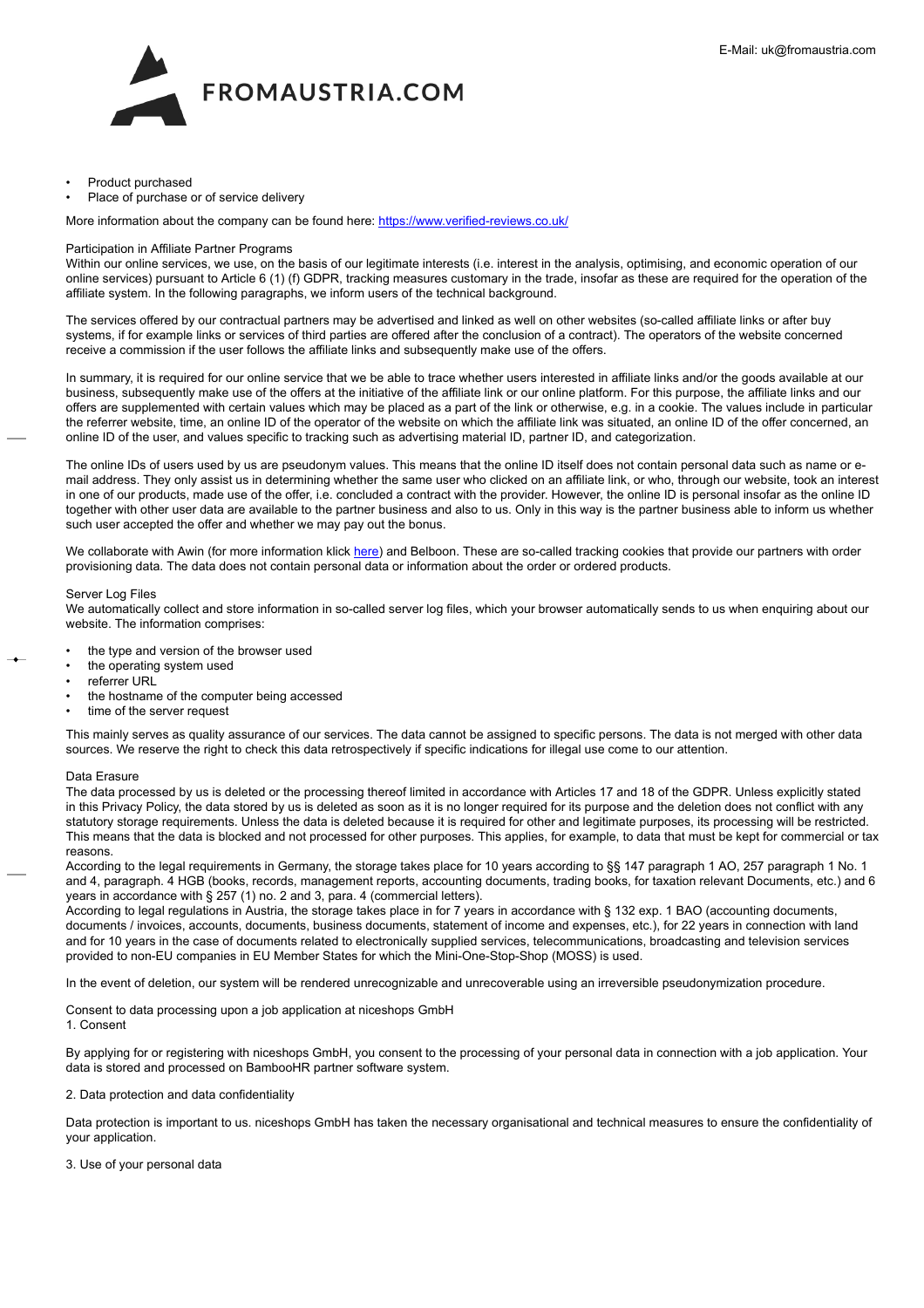

- Product purchased
- Place of purchase or of service delivery

More information about the company can be found here: <https://www.verified-reviews.co.uk/>

## Participation in Affiliate Partner Programs

Within our online services, we use, on the basis of our legitimate interests (i.e. interest in the analysis, optimising, and economic operation of our online services) pursuant to Article 6 (1) (f) GDPR, tracking measures customary in the trade, insofar as these are required for the operation of the affiliate system. In the following paragraphs, we inform users of the technical background.

The services offered by our contractual partners may be advertised and linked as well on other websites (so-called affiliate links or after buy systems, if for example links or services of third parties are offered after the conclusion of a contract). The operators of the website concerned receive a commission if the user follows the affiliate links and subsequently make use of the offers.

In summary, it is required for our online service that we be able to trace whether users interested in affiliate links and/or the goods available at our business, subsequently make use of the offers at the initiative of the affiliate link or our online platform. For this purpose, the affiliate links and our offers are supplemented with certain values which may be placed as a part of the link or otherwise, e.g. in a cookie. The values include in particular the referrer website, time, an online ID of the operator of the website on which the affiliate link was situated, an online ID of the offer concerned, an online ID of the user, and values specific to tracking such as advertising material ID, partner ID, and categorization.

The online IDs of users used by us are pseudonym values. This means that the online ID itself does not contain personal data such as name or email address. They only assist us in determining whether the same user who clicked on an affiliate link, or who, through our website, took an interest in one of our products, made use of the offer, i.e. concluded a contract with the provider. However, the online ID is personal insofar as the online ID together with other user data are available to the partner business and also to us. Only in this way is the partner business able to inform us whether such user accepted the offer and whether we may pay out the bonus.

We collaborate with Awin (for more information klick [here\)](#page-0-0) and Belboon. These are so-called tracking cookies that provide our partners with order provisioning data. The data does not contain personal data or information about the order or ordered products.

#### Server Log Files

We automatically collect and store information in so-called server log files, which your browser automatically sends to us when enquiring about our website. The information comprises:

- the type and version of the browser used
- the operating system used
- referrer URL
- the hostname of the computer being accessed
- time of the server request

This mainly serves as quality assurance of our services. The data cannot be assigned to specific persons. The data is not merged with other data sources. We reserve the right to check this data retrospectively if specific indications for illegal use come to our attention.

## Data Erasure

The data processed by us is deleted or the processing thereof limited in accordance with Articles 17 and 18 of the GDPR. Unless explicitly stated in this Privacy Policy, the data stored by us is deleted as soon as it is no longer required for its purpose and the deletion does not conflict with any statutory storage requirements. Unless the data is deleted because it is required for other and legitimate purposes, its processing will be restricted. This means that the data is blocked and not processed for other purposes. This applies, for example, to data that must be kept for commercial or tax reasons.

According to the legal requirements in Germany, the storage takes place for 10 years according to §§ 147 paragraph 1 AO, 257 paragraph 1 No. 1 and 4, paragraph. 4 HGB (books, records, management reports, accounting documents, trading books, for taxation relevant Documents, etc.) and 6 years in accordance with § 257 (1) no. 2 and 3, para. 4 (commercial letters).

According to legal regulations in Austria, the storage takes place in for 7 years in accordance with § 132 exp. 1 BAO (accounting documents, documents / invoices, accounts, documents, business documents, statement of income and expenses, etc.), for 22 years in connection with land and for 10 years in the case of documents related to electronically supplied services, telecommunications, broadcasting and television services provided to non-EU companies in EU Member States for which the Mini-One-Stop-Shop (MOSS) is used.

In the event of deletion, our system will be rendered unrecognizable and unrecoverable using an irreversible pseudonymization procedure.

Consent to data processing upon a job application at niceshops GmbH 1. Consent

By applying for or registering with niceshops GmbH, you consent to the processing of your personal data in connection with a job application. Your data is stored and processed on BambooHR partner software system.

2. Data protection and data confidentiality

Data protection is important to us. niceshops GmbH has taken the necessary organisational and technical measures to ensure the confidentiality of your application.

3. Use of your personal data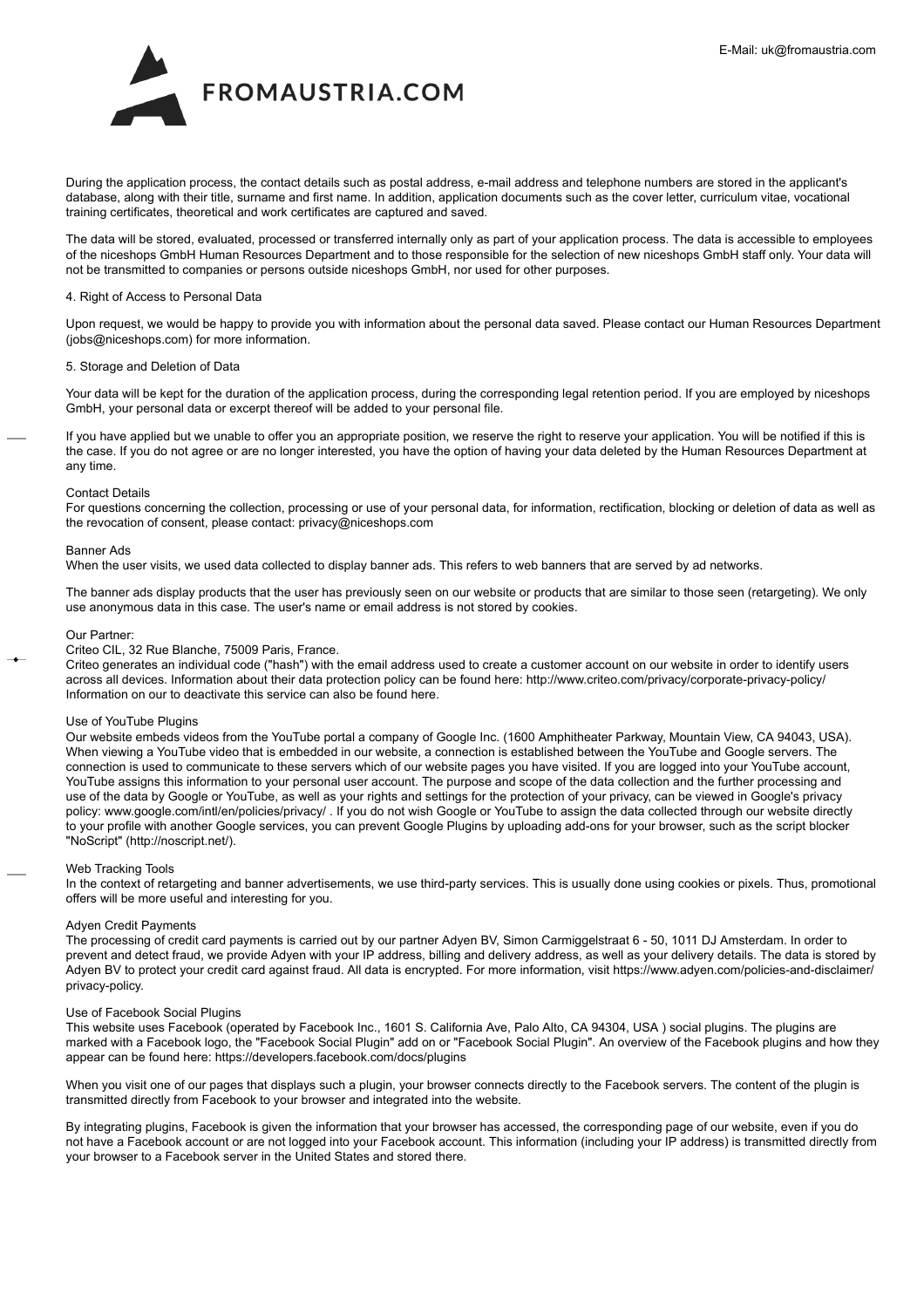

During the application process, the contact details such as postal address, e-mail address and telephone numbers are stored in the applicant's database, along with their title, surname and first name. In addition, application documents such as the cover letter, curriculum vitae, vocational training certificates, theoretical and work certificates are captured and saved.

The data will be stored, evaluated, processed or transferred internally only as part of your application process. The data is accessible to employees of the niceshops GmbH Human Resources Department and to those responsible for the selection of new niceshops GmbH staff only. Your data will not be transmitted to companies or persons outside niceshops GmbH, nor used for other purposes.

# 4. Right of Access to Personal Data

Upon request, we would be happy to provide you with information about the personal data saved. Please contact our Human Resources Department (jobs@niceshops.com) for more information.

## 5. Storage and Deletion of Data

Your data will be kept for the duration of the application process, during the corresponding legal retention period. If you are employed by niceshops GmbH, your personal data or excerpt thereof will be added to your personal file.

If you have applied but we unable to offer you an appropriate position, we reserve the right to reserve your application. You will be notified if this is the case. If you do not agree or are no longer interested, you have the option of having your data deleted by the Human Resources Department at any time.

#### Contact Details

For questions concerning the collection, processing or use of your personal data, for information, rectification, blocking or deletion of data as well as the revocation of consent, please contact: privacy@niceshops.com

## Banner Ads

When the user visits, we used data collected to display banner ads. This refers to web banners that are served by ad networks.

The banner ads display products that the user has previously seen on our website or products that are similar to those seen (retargeting). We only use anonymous data in this case. The user's name or email address is not stored by cookies.

#### Our Partner:

Criteo CIL, 32 Rue Blanche, 75009 Paris, France.

Criteo generates an individual code ("hash") with the email address used to create a customer account on our website in order to identify users across all devices. Information about their data protection policy can be found here: http://www.criteo.com/privacy/corporate-privacy-policy/ Information on our to deactivate this service can also be found here.

## Use of YouTube Plugins

Our website embeds videos from the YouTube portal a company of Google Inc. (1600 Amphitheater Parkway, Mountain View, CA 94043, USA). When viewing a YouTube video that is embedded in our website, a connection is established between the YouTube and Google servers. The connection is used to communicate to these servers which of our website pages you have visited. If you are logged into your YouTube account, YouTube assigns this information to your personal user account. The purpose and scope of the data collection and the further processing and use of the data by Google or YouTube, as well as your rights and settings for the protection of your privacy, can be viewed in Google's privacy policy: www.google.com/intl/en/policies/privacy/ . If you do not wish Google or YouTube to assign the data collected through our website directly to your profile with another Google services, you can prevent Google Plugins by uploading add-ons for your browser, such as the script blocker "NoScript" (http://noscript.net/).

#### Web Tracking Tools

In the context of retargeting and banner advertisements, we use third-party services. This is usually done using cookies or pixels. Thus, promotional offers will be more useful and interesting for you.

# Adyen Credit Payments

The processing of credit card payments is carried out by our partner Adyen BV, Simon Carmiggelstraat 6 - 50, 1011 DJ Amsterdam. In order to prevent and detect fraud, we provide Adyen with your IP address, billing and delivery address, as well as your delivery details. The data is stored by Adyen BV to protect your credit card against fraud. All data is encrypted. For more information, visit https://www.adyen.com/policies-and-disclaimer/ privacy-policy.

## Use of Facebook Social Plugins

This website uses Facebook (operated by Facebook Inc., 1601 S. California Ave, Palo Alto, CA 94304, USA ) social plugins. The plugins are marked with a Facebook logo, the "Facebook Social Plugin" add on or "Facebook Social Plugin". An overview of the Facebook plugins and how they appear can be found here: https://developers.facebook.com/docs/plugins

When you visit one of our pages that displays such a plugin, your browser connects directly to the Facebook servers. The content of the plugin is transmitted directly from Facebook to your browser and integrated into the website.

By integrating plugins, Facebook is given the information that your browser has accessed, the corresponding page of our website, even if you do not have a Facebook account or are not logged into your Facebook account. This information (including your IP address) is transmitted directly from your browser to a Facebook server in the United States and stored there.